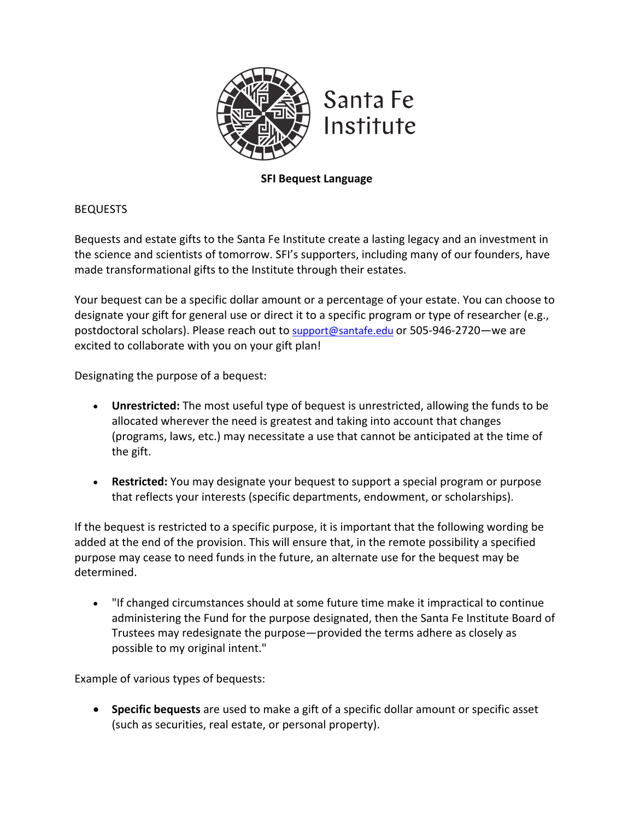

**SFI Bequest Language**

BEQUESTS

Bequests and estate gifts to the Santa Fe Institute create a lasting legacy and an investment in the science and scientists of tomorrow. SFI's supporters, including many of our founders, have made transformational gifts to the Institute through their estates.

Your bequest can be a specific dollar amount or a percentage of your estate. You can choose to designate your gift for general use or direct it to a specific program or type of researcher (e.g., postdoctoral scholars). Please reach out to support@santafe.edu or 505-946-2720—we are excited to collaborate with you on your gift plan!

Designating the purpose of a bequest:

- **Unrestricted:** The most useful type of bequest is unrestricted, allowing the funds to be allocated wherever the need is greatest and taking into account that changes (programs, laws, etc.) may necessitate a use that cannot be anticipated at the time of the gift.
- **Restricted:** You may designate your bequest to support a special program or purpose that reflects your interests (specific departments, endowment, or scholarships).

If the bequest is restricted to a specific purpose, it is important that the following wording be added at the end of the provision. This will ensure that, in the remote possibility a specified purpose may cease to need funds in the future, an alternate use for the bequest may be determined.

• "If changed circumstances should at some future time make it impractical to continue administering the Fund for the purpose designated, then the Santa Fe Institute Board of Trustees may redesignate the purpose—provided the terms adhere as closely as possible to my original intent."

Example of various types of bequests:

• **Specific bequests** are used to make a gift of a specific dollar amount or specific asset (such as securities, real estate, or personal property).